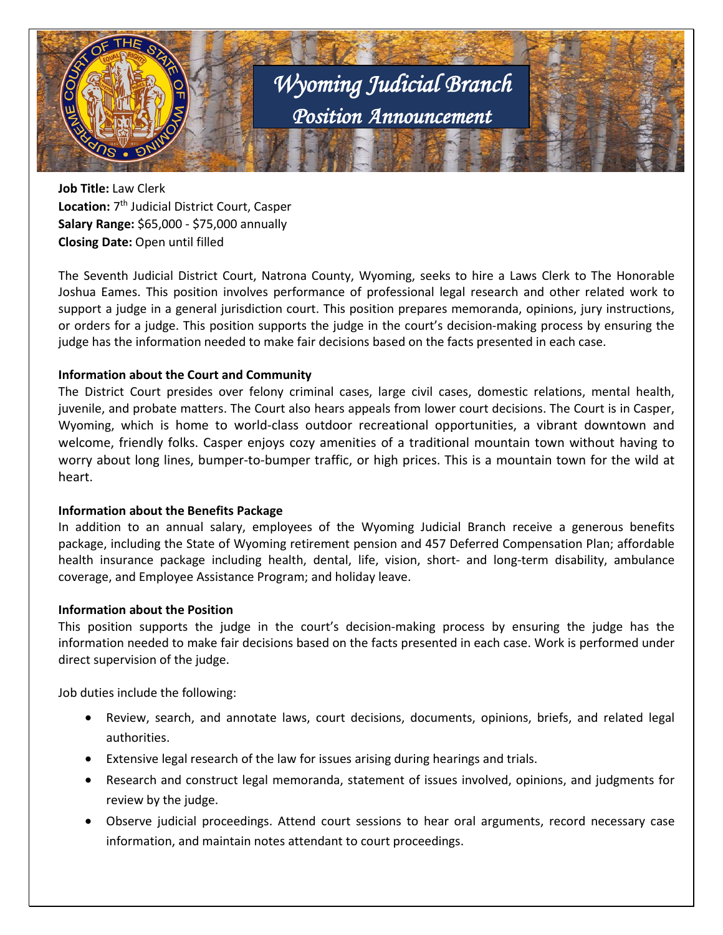

**Job Title:** Law Clerk **Location:** 7th Judicial District Court, Casper **Salary Range:** \$65,000 - \$75,000 annually **Closing Date:** Open until filled

The Seventh Judicial District Court, Natrona County, Wyoming, seeks to hire a Laws Clerk to The Honorable Joshua Eames. This position involves performance of professional legal research and other related work to support a judge in a general jurisdiction court. This position prepares memoranda, opinions, jury instructions, or orders for a judge. This position supports the judge in the court's decision-making process by ensuring the judge has the information needed to make fair decisions based on the facts presented in each case.

## **Information about the Court and Community**

The District Court presides over felony criminal cases, large civil cases, domestic relations, mental health, juvenile, and probate matters. The Court also hears appeals from lower court decisions. The Court is in Casper, Wyoming, which is home to world-class outdoor recreational opportunities, a vibrant downtown and welcome, friendly folks. Casper enjoys cozy amenities of a traditional mountain town without having to worry about long lines, bumper-to-bumper traffic, or high prices. This is a mountain town for the wild at heart.

## **Information about the Benefits Package**

In addition to an annual salary, employees of the Wyoming Judicial Branch receive a generous benefits package, including the State of Wyoming retirement pension and 457 Deferred Compensation Plan; affordable health insurance package including health, dental, life, vision, short- and long-term disability, ambulance coverage, and Employee Assistance Program; and holiday leave.

## **Information about the Position**

This position supports the judge in the court's decision-making process by ensuring the judge has the information needed to make fair decisions based on the facts presented in each case. Work is performed under direct supervision of the judge.

Job duties include the following:

- Review, search, and annotate laws, court decisions, documents, opinions, briefs, and related legal authorities.
- Extensive legal research of the law for issues arising during hearings and trials.
- Research and construct legal memoranda, statement of issues involved, opinions, and judgments for review by the judge.
- Observe judicial proceedings. Attend court sessions to hear oral arguments, record necessary case information, and maintain notes attendant to court proceedings.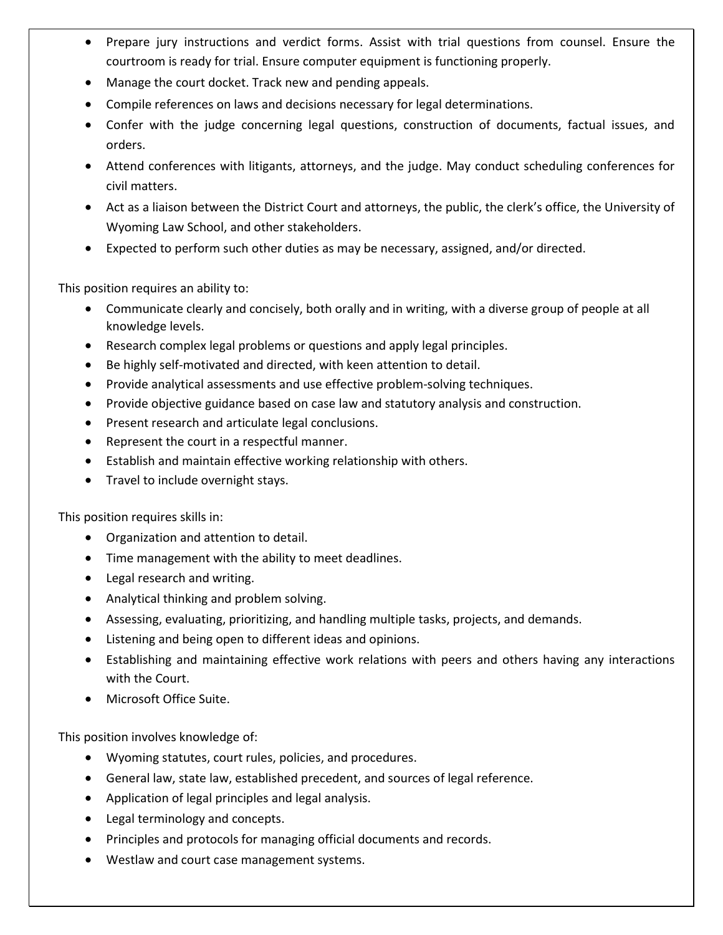- Prepare jury instructions and verdict forms. Assist with trial questions from counsel. Ensure the courtroom is ready for trial. Ensure computer equipment is functioning properly.
- Manage the court docket. Track new and pending appeals.
- Compile references on laws and decisions necessary for legal determinations.
- Confer with the judge concerning legal questions, construction of documents, factual issues, and orders.
- Attend conferences with litigants, attorneys, and the judge. May conduct scheduling conferences for civil matters.
- Act as a liaison between the District Court and attorneys, the public, the clerk's office, the University of Wyoming Law School, and other stakeholders.
- Expected to perform such other duties as may be necessary, assigned, and/or directed.

This position requires an ability to:

- Communicate clearly and concisely, both orally and in writing, with a diverse group of people at all knowledge levels.
- Research complex legal problems or questions and apply legal principles.
- Be highly self-motivated and directed, with keen attention to detail.
- Provide analytical assessments and use effective problem-solving techniques.
- Provide objective guidance based on case law and statutory analysis and construction.
- Present research and articulate legal conclusions.
- Represent the court in a respectful manner.
- Establish and maintain effective working relationship with others.
- Travel to include overnight stays.

This position requires skills in:

- Organization and attention to detail.
- Time management with the ability to meet deadlines.
- Legal research and writing.
- Analytical thinking and problem solving.
- Assessing, evaluating, prioritizing, and handling multiple tasks, projects, and demands.
- Listening and being open to different ideas and opinions.
- Establishing and maintaining effective work relations with peers and others having any interactions with the Court.
- Microsoft Office Suite.

This position involves knowledge of:

- Wyoming statutes, court rules, policies, and procedures.
- General law, state law, established precedent, and sources of legal reference.
- Application of legal principles and legal analysis.
- Legal terminology and concepts.
- Principles and protocols for managing official documents and records.
- Westlaw and court case management systems.